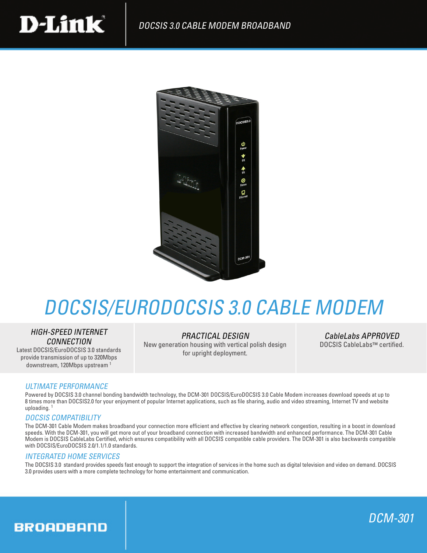



# DOCSIS/EURODOCSIS 3.0 CABLE MODEM

# HIGH-SPEED INTERNET **CONNECTION**

Latest DOCSIS/EuroDOCSIS 3.0 standards provide transmission of up to 320Mbps downstream, 120Mbps upstream 1

# PRACTICAL DESIGN

New generation housing with vertical polish design for upright deployment.

CableLabs APPROVED DOCSIS CableLabs™ certified.

# ULTIMATE PERFORMANCE

Powered by DOCSIS 3.0 channel bonding bandwidth technology, the DCM-301 DOCSIS/EuroDOCSIS 3.0 Cable Modem increases download speeds at up to 8 times more than DOCSIS2.0 for your enjoyment of popular Internet applications, such as file sharing, audio and video streaming, Internet TV and website uploading. 1

### DOCSIS COMPATIBILITY

The DCM-301 Cable Modem makes broadband your connection more efficient and effective by clearing network congestion, resulting in a boost in download speeds. With the DCM-301, you will get more out of your broadband connection with increased bandwidth and enhanced performance. The DCM-301 Cable Modem is DOCSIS CableLabs Certified, which ensures compatibility with all DOCSIS compatible cable providers. The DCM-301 is also backwards compatible with DOCSIS/EuroDOCSIS 2.0/1.1/1.0 standards.

### INTEGRATED HOME SERVICES

The DOCSIS 3.0 standard provides speeds fast enough to support the integration of services in the home such as digital television and video on demand. DOCSIS 3.0 provides users with a more complete technology for home entertainment and communication.